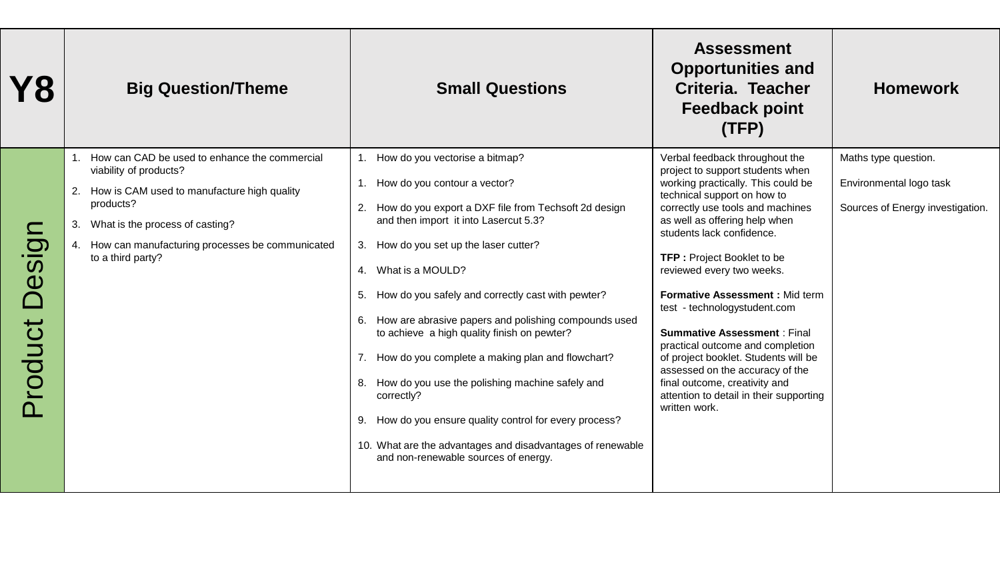| Y8               | <b>Big Question/Theme</b>                                                                                                                                                                                                                                  | <b>Small Questions</b>                                                                                                                                                                                                                                                                                                                                                                                                                                                                                                                                                                                                                                                                                              | <b>Assessment</b><br><b>Opportunities and</b><br>Criteria. Teacher<br><b>Feedback point</b><br>(TFP)                                                                                                                                                                                                                                                                                                                                                                                                                                                                                                                             | <b>Homework</b>                                                                     |
|------------------|------------------------------------------------------------------------------------------------------------------------------------------------------------------------------------------------------------------------------------------------------------|---------------------------------------------------------------------------------------------------------------------------------------------------------------------------------------------------------------------------------------------------------------------------------------------------------------------------------------------------------------------------------------------------------------------------------------------------------------------------------------------------------------------------------------------------------------------------------------------------------------------------------------------------------------------------------------------------------------------|----------------------------------------------------------------------------------------------------------------------------------------------------------------------------------------------------------------------------------------------------------------------------------------------------------------------------------------------------------------------------------------------------------------------------------------------------------------------------------------------------------------------------------------------------------------------------------------------------------------------------------|-------------------------------------------------------------------------------------|
| ngise<br>Product | How can CAD be used to enhance the commercial<br>viability of products?<br>How is CAM used to manufacture high quality<br>products?<br>What is the process of casting?<br>3.<br>How can manufacturing processes be communicated<br>4.<br>to a third party? | 1. How do you vectorise a bitmap?<br>1. How do you contour a vector?<br>2. How do you export a DXF file from Techsoft 2d design<br>and then import it into Lasercut 5.3?<br>3. How do you set up the laser cutter?<br>4. What is a MOULD?<br>How do you safely and correctly cast with pewter?<br>5.<br>How are abrasive papers and polishing compounds used<br>6.<br>to achieve a high quality finish on pewter?<br>7. How do you complete a making plan and flowchart?<br>How do you use the polishing machine safely and<br>8.<br>correctly?<br>How do you ensure quality control for every process?<br>9.<br>10. What are the advantages and disadvantages of renewable<br>and non-renewable sources of energy. | Verbal feedback throughout the<br>project to support students when<br>working practically. This could be<br>technical support on how to<br>correctly use tools and machines<br>as well as offering help when<br>students lack confidence.<br><b>TFP: Project Booklet to be</b><br>reviewed every two weeks.<br>Formative Assessment : Mid term<br>test - technologystudent.com<br><b>Summative Assessment: Final</b><br>practical outcome and completion<br>of project booklet. Students will be<br>assessed on the accuracy of the<br>final outcome, creativity and<br>attention to detail in their supporting<br>written work. | Maths type question.<br>Environmental logo task<br>Sources of Energy investigation. |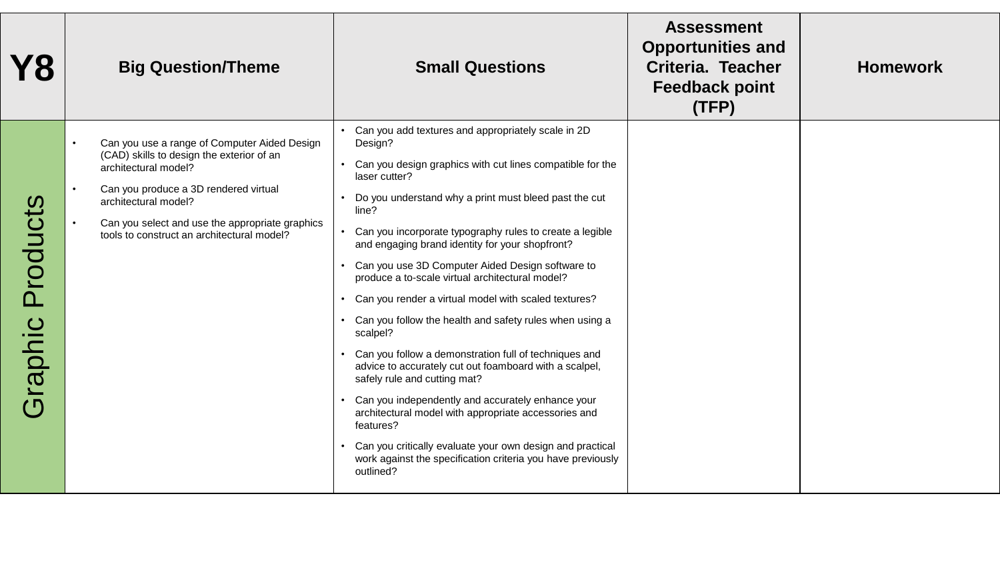| Y8                                                 | <b>Big Question/Theme</b>                                                                                                                                                                                                                                                           | <b>Small Questions</b>                                                                                                                                                                                                                                                                                                                                                                                                                                                                                                                                                                                                                                                                                                                                                                                                                                                                                                                                                                       | <b>Assessment</b><br><b>Opportunities and</b><br><b>Criteria. Teacher</b><br><b>Feedback point</b><br>(TFP) | <b>Homework</b> |
|----------------------------------------------------|-------------------------------------------------------------------------------------------------------------------------------------------------------------------------------------------------------------------------------------------------------------------------------------|----------------------------------------------------------------------------------------------------------------------------------------------------------------------------------------------------------------------------------------------------------------------------------------------------------------------------------------------------------------------------------------------------------------------------------------------------------------------------------------------------------------------------------------------------------------------------------------------------------------------------------------------------------------------------------------------------------------------------------------------------------------------------------------------------------------------------------------------------------------------------------------------------------------------------------------------------------------------------------------------|-------------------------------------------------------------------------------------------------------------|-----------------|
| Products<br>iraphic<br>$\overline{(\overline{D})}$ | Can you use a range of Computer Aided Design<br>(CAD) skills to design the exterior of an<br>architectural model?<br>Can you produce a 3D rendered virtual<br>architectural model?<br>Can you select and use the appropriate graphics<br>tools to construct an architectural model? | Can you add textures and appropriately scale in 2D<br>Design?<br>Can you design graphics with cut lines compatible for the<br>laser cutter?<br>Do you understand why a print must bleed past the cut<br>line?<br>Can you incorporate typography rules to create a legible<br>and engaging brand identity for your shopfront?<br>Can you use 3D Computer Aided Design software to<br>produce a to-scale virtual architectural model?<br>• Can you render a virtual model with scaled textures?<br>• Can you follow the health and safety rules when using a<br>scalpel?<br>Can you follow a demonstration full of techniques and<br>advice to accurately cut out foamboard with a scalpel,<br>safely rule and cutting mat?<br>Can you independently and accurately enhance your<br>architectural model with appropriate accessories and<br>features?<br>Can you critically evaluate your own design and practical<br>work against the specification criteria you have previously<br>outlined? |                                                                                                             |                 |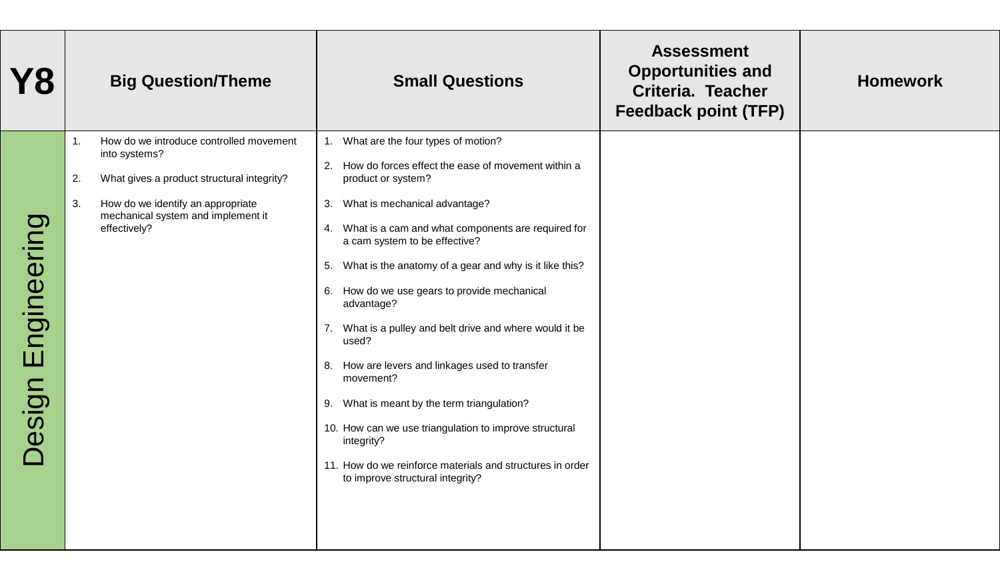| <b>Feedback point (TFP)</b>                                                                                                                                                                                                                                                                                                                                                                                                                                                                                                                                                                                                                                                                                                                                                                                                                                                                                                                                                                               |  |
|-----------------------------------------------------------------------------------------------------------------------------------------------------------------------------------------------------------------------------------------------------------------------------------------------------------------------------------------------------------------------------------------------------------------------------------------------------------------------------------------------------------------------------------------------------------------------------------------------------------------------------------------------------------------------------------------------------------------------------------------------------------------------------------------------------------------------------------------------------------------------------------------------------------------------------------------------------------------------------------------------------------|--|
| How do we introduce controlled movement<br>1. What are the four types of motion?<br>1 <sub>1</sub><br>into systems?<br>2. How do forces effect the ease of movement within a<br>What gives a product structural integrity?<br>2.<br>product or system?<br>How do we identify an appropriate<br>3. What is mechanical advantage?<br>3.<br>mechanical system and implement it<br>Engineering<br>effectively?<br>What is a cam and what components are required for<br>4.<br>a cam system to be effective?<br>5. What is the anatomy of a gear and why is it like this?<br>6. How do we use gears to provide mechanical<br>advantage?<br>7. What is a pulley and belt drive and where would it be<br>used?<br>8. How are levers and linkages used to transfer<br>movement?<br>Design<br>9. What is meant by the term triangulation?<br>10. How can we use triangulation to improve structural<br>integrity?<br>11. How do we reinforce materials and structures in order<br>to improve structural integrity? |  |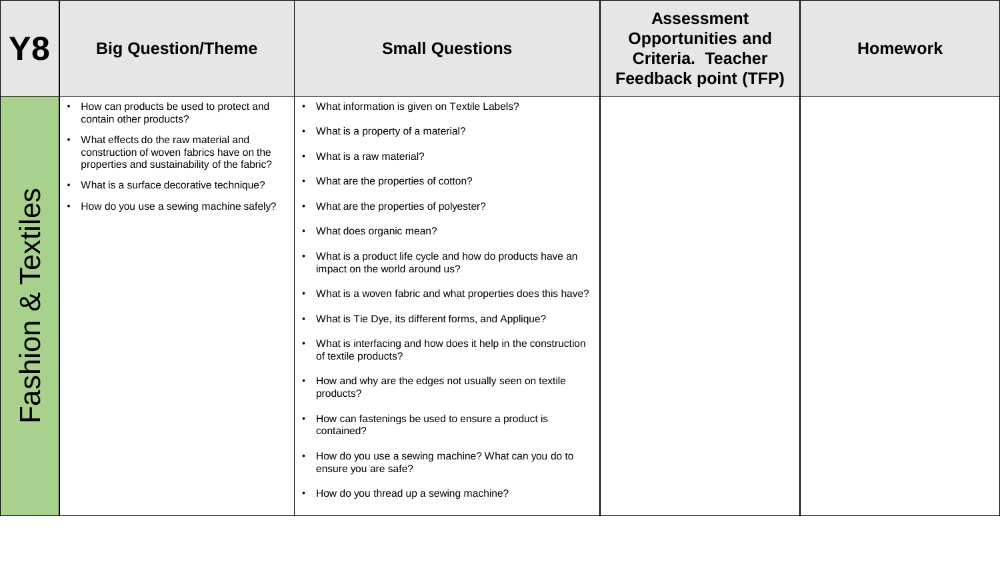| Y8                                   | <b>Big Question/Theme</b>                                                                                                                                                                                                                                                                                    | <b>Small Questions</b>                                                                                                                                                                                                                                                                                                                                                                                                                                                                                                                                                                                                                                                                                                                                                                                                                                      | <b>Assessment</b><br><b>Opportunities and</b><br>Criteria. Teacher<br><b>Feedback point (TFP)</b> | <b>Homework</b> |
|--------------------------------------|--------------------------------------------------------------------------------------------------------------------------------------------------------------------------------------------------------------------------------------------------------------------------------------------------------------|-------------------------------------------------------------------------------------------------------------------------------------------------------------------------------------------------------------------------------------------------------------------------------------------------------------------------------------------------------------------------------------------------------------------------------------------------------------------------------------------------------------------------------------------------------------------------------------------------------------------------------------------------------------------------------------------------------------------------------------------------------------------------------------------------------------------------------------------------------------|---------------------------------------------------------------------------------------------------|-----------------|
| Textiles<br><u>ර</u><br>ashion<br>Ħг | How can products be used to protect and<br>contain other products?<br>What effects do the raw material and<br>construction of woven fabrics have on the<br>properties and sustainability of the fabric?<br>• What is a surface decorative technique?<br>How do you use a sewing machine safely?<br>$\bullet$ | What information is given on Textile Labels?<br>What is a property of a material?<br>$\bullet$<br>What is a raw material?<br>$\bullet$<br>What are the properties of cotton?<br>• What are the properties of polyester?<br>What does organic mean?<br>$\bullet$<br>What is a product life cycle and how do products have an<br>impact on the world around us?<br>What is a woven fabric and what properties does this have?<br>What is Tie Dye, its different forms, and Applique?<br>$\bullet$<br>What is interfacing and how does it help in the construction<br>of textile products?<br>How and why are the edges not usually seen on textile<br>products?<br>How can fastenings be used to ensure a product is<br>contained?<br>How do you use a sewing machine? What can you do to<br>ensure you are safe?<br>• How do you thread up a sewing machine? |                                                                                                   |                 |